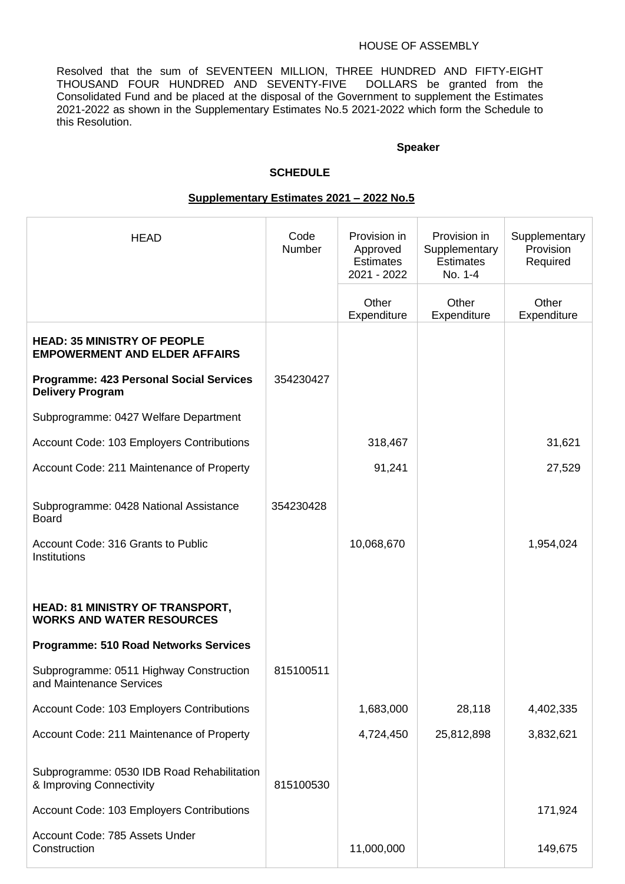#### HOUSE OF ASSEMBLY

Resolved that the sum of SEVENTEEN MILLION, THREE HUNDRED AND FIFTY-EIGHT THOUSAND FOUR HUNDRED AND SEVENTY-FIVE DOLLARS be granted from the Consolidated Fund and be placed at the disposal of the Government to supplement the Estimates 2021-2022 as shown in the Supplementary Estimates No.5 2021-2022 which form the Schedule to this Resolution.

### **Speaker**

## **SCHEDULE**

#### **Supplementary Estimates 2021 – 2022 No.5**

| <b>HEAD</b>                                                                                  | Code<br>Number | Provision in<br>Approved<br><b>Estimates</b><br>2021 - 2022 | Provision in<br>Supplementary<br><b>Estimates</b><br>No. 1-4 | Supplementary<br>Provision<br>Required |
|----------------------------------------------------------------------------------------------|----------------|-------------------------------------------------------------|--------------------------------------------------------------|----------------------------------------|
|                                                                                              |                | Other<br>Expenditure                                        | Other<br>Expenditure                                         | Other<br>Expenditure                   |
| <b>HEAD: 35 MINISTRY OF PEOPLE</b><br><b>EMPOWERMENT AND ELDER AFFAIRS</b>                   |                |                                                             |                                                              |                                        |
| <b>Programme: 423 Personal Social Services</b><br><b>Delivery Program</b>                    | 354230427      |                                                             |                                                              |                                        |
| Subprogramme: 0427 Welfare Department                                                        |                |                                                             |                                                              |                                        |
| Account Code: 103 Employers Contributions                                                    |                | 318,467                                                     |                                                              | 31,621                                 |
| Account Code: 211 Maintenance of Property                                                    |                | 91,241                                                      |                                                              | 27,529                                 |
| Subprogramme: 0428 National Assistance<br><b>Board</b><br>Account Code: 316 Grants to Public | 354230428      | 10,068,670                                                  |                                                              | 1,954,024                              |
| Institutions                                                                                 |                |                                                             |                                                              |                                        |
|                                                                                              |                |                                                             |                                                              |                                        |
| <b>HEAD: 81 MINISTRY OF TRANSPORT,</b><br><b>WORKS AND WATER RESOURCES</b>                   |                |                                                             |                                                              |                                        |
| <b>Programme: 510 Road Networks Services</b>                                                 |                |                                                             |                                                              |                                        |
| Subprogramme: 0511 Highway Construction<br>and Maintenance Services                          | 815100511      |                                                             |                                                              |                                        |
| Account Code: 103 Employers Contributions                                                    |                | 1,683,000                                                   | 28,118                                                       | 4,402,335                              |
| Account Code: 211 Maintenance of Property                                                    |                | 4,724,450                                                   | 25,812,898                                                   | 3,832,621                              |
| Subprogramme: 0530 IDB Road Rehabilitation<br>& Improving Connectivity                       | 815100530      |                                                             |                                                              |                                        |
| Account Code: 103 Employers Contributions                                                    |                |                                                             |                                                              | 171,924                                |
| Account Code: 785 Assets Under<br>Construction                                               |                | 11,000,000                                                  |                                                              | 149,675                                |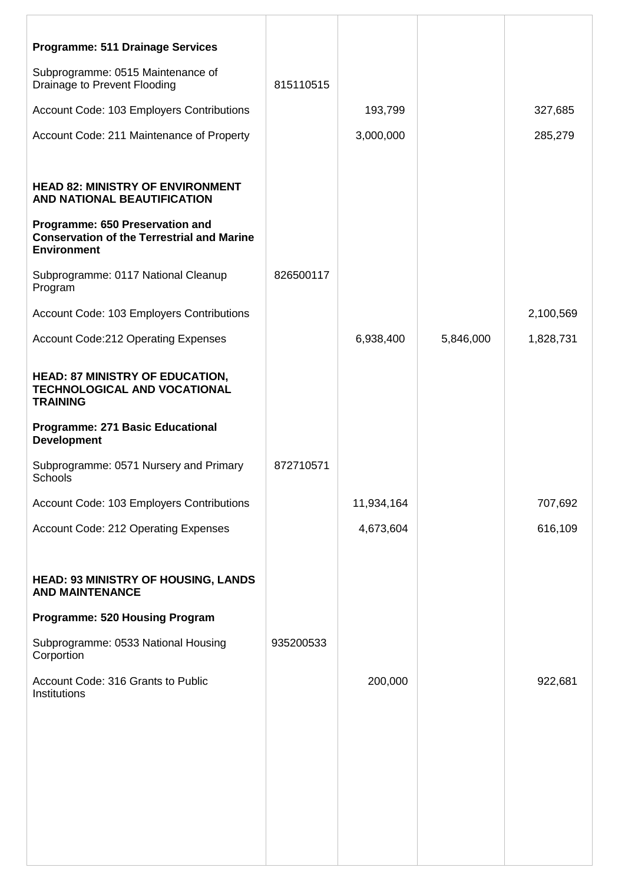| <b>Programme: 511 Drainage Services</b>                                                                    |           |            |           |           |
|------------------------------------------------------------------------------------------------------------|-----------|------------|-----------|-----------|
| Subprogramme: 0515 Maintenance of<br>Drainage to Prevent Flooding                                          | 815110515 |            |           |           |
| Account Code: 103 Employers Contributions                                                                  |           | 193,799    |           | 327,685   |
| Account Code: 211 Maintenance of Property                                                                  |           | 3,000,000  |           | 285,279   |
|                                                                                                            |           |            |           |           |
| <b>HEAD 82: MINISTRY OF ENVIRONMENT</b><br>AND NATIONAL BEAUTIFICATION                                     |           |            |           |           |
| Programme: 650 Preservation and<br><b>Conservation of the Terrestrial and Marine</b><br><b>Environment</b> |           |            |           |           |
| Subprogramme: 0117 National Cleanup<br>Program                                                             | 826500117 |            |           |           |
| Account Code: 103 Employers Contributions                                                                  |           |            |           | 2,100,569 |
| <b>Account Code:212 Operating Expenses</b>                                                                 |           | 6,938,400  | 5,846,000 | 1,828,731 |
| <b>HEAD: 87 MINISTRY OF EDUCATION,</b><br>TECHNOLOGICAL AND VOCATIONAL<br><b>TRAINING</b>                  |           |            |           |           |
| <b>Programme: 271 Basic Educational</b><br><b>Development</b>                                              |           |            |           |           |
| Subprogramme: 0571 Nursery and Primary<br>Schools                                                          | 872710571 |            |           |           |
| Account Code: 103 Employers Contributions                                                                  |           | 11,934,164 |           | 707,692   |
| Account Code: 212 Operating Expenses                                                                       |           | 4,673,604  |           | 616,109   |
| <b>HEAD: 93 MINISTRY OF HOUSING, LANDS</b><br><b>AND MAINTENANCE</b>                                       |           |            |           |           |
| <b>Programme: 520 Housing Program</b>                                                                      |           |            |           |           |
| Subprogramme: 0533 National Housing<br>Corportion                                                          | 935200533 |            |           |           |
| Account Code: 316 Grants to Public<br>Institutions                                                         |           | 200,000    |           | 922,681   |
|                                                                                                            |           |            |           |           |
|                                                                                                            |           |            |           |           |
|                                                                                                            |           |            |           |           |
|                                                                                                            |           |            |           |           |
|                                                                                                            |           |            |           |           |
|                                                                                                            |           |            |           |           |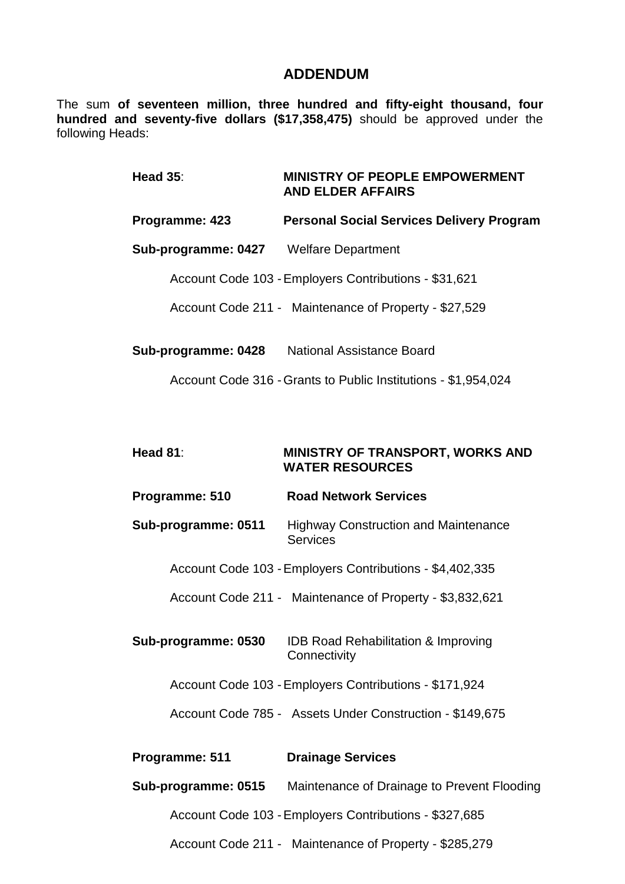## **ADDENDUM**

The sum **of seventeen million, three hundred and fifty-eight thousand, four hundred and seventy-five dollars (\$17,358,475)** should be approved under the following Heads:

| <b>Head 35:</b>                        | <b>MINISTRY OF PEOPLE EMPOWERMENT</b><br><b>AND ELDER AFFAIRS</b>       |
|----------------------------------------|-------------------------------------------------------------------------|
| Programme: 423                         | <b>Personal Social Services Delivery Program</b>                        |
| Sub-programme: 0427 Welfare Department |                                                                         |
|                                        | Account Code 103 - Employers Contributions - \$31,621                   |
|                                        | Account Code 211 - Maintenance of Property - \$27,529                   |
|                                        | Sub-programme: 0428 National Assistance Board                           |
|                                        | Account Code 316 - Grants to Public Institutions - \$1,954,024          |
|                                        |                                                                         |
| Head 81:                               | MINISTRY OF TRANSPORT, WORKS AND<br><b>WATER RESOURCES</b>              |
| Programme: 510                         | <b>Road Network Services</b>                                            |
| Sub-programme: 0511                    | <b>Highway Construction and Maintenance</b><br><b>Services</b>          |
|                                        | Account Code 103 - Employers Contributions - \$4,402,335                |
|                                        | Account Code 211 - Maintenance of Property - \$3,832,621                |
|                                        | Sub-programme: 0530 IDB Road Rehabilitation & Improving<br>Connectivity |
|                                        | Account Code 103 - Employers Contributions - \$171,924                  |
|                                        | Account Code 785 - Assets Under Construction - \$149,675                |
| Programme: 511                         | <b>Drainage Services</b>                                                |
|                                        | <b>Sub-programme: 0515</b> Maintenance of Drainage to Prevent Flooding  |
|                                        | Account Code 103 - Employers Contributions - \$327,685                  |
|                                        |                                                                         |

Account Code 211 - Maintenance of Property - \$285,279